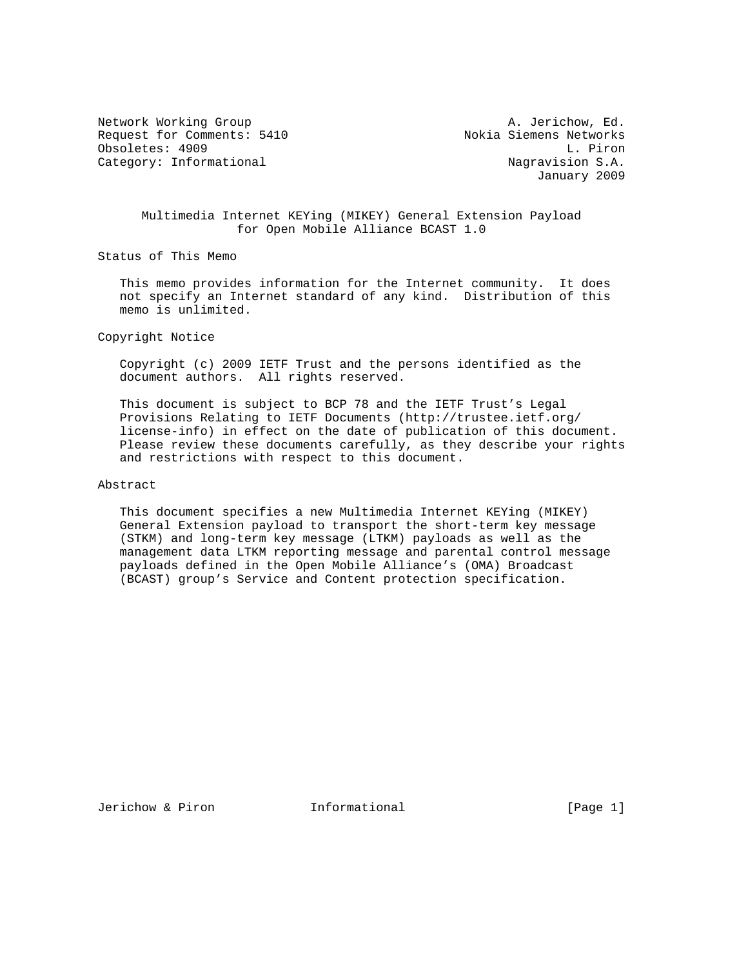Network Working Group and A. Jerichow, Ed. Request for Comments: 5410 Nokia Siemens Networks Obsoletes: 4909 L. Piron Category: Informational  $\qquad \qquad$  Nagravision S.A.

January 2009

## Multimedia Internet KEYing (MIKEY) General Extension Payload for Open Mobile Alliance BCAST 1.0

Status of This Memo

 This memo provides information for the Internet community. It does not specify an Internet standard of any kind. Distribution of this memo is unlimited.

Copyright Notice

 Copyright (c) 2009 IETF Trust and the persons identified as the document authors. All rights reserved.

 This document is subject to BCP 78 and the IETF Trust's Legal Provisions Relating to IETF Documents (http://trustee.ietf.org/ license-info) in effect on the date of publication of this document. Please review these documents carefully, as they describe your rights and restrictions with respect to this document.

Abstract

 This document specifies a new Multimedia Internet KEYing (MIKEY) General Extension payload to transport the short-term key message (STKM) and long-term key message (LTKM) payloads as well as the management data LTKM reporting message and parental control message payloads defined in the Open Mobile Alliance's (OMA) Broadcast (BCAST) group's Service and Content protection specification.

Jerichow & Piron **Informational** [Page 1]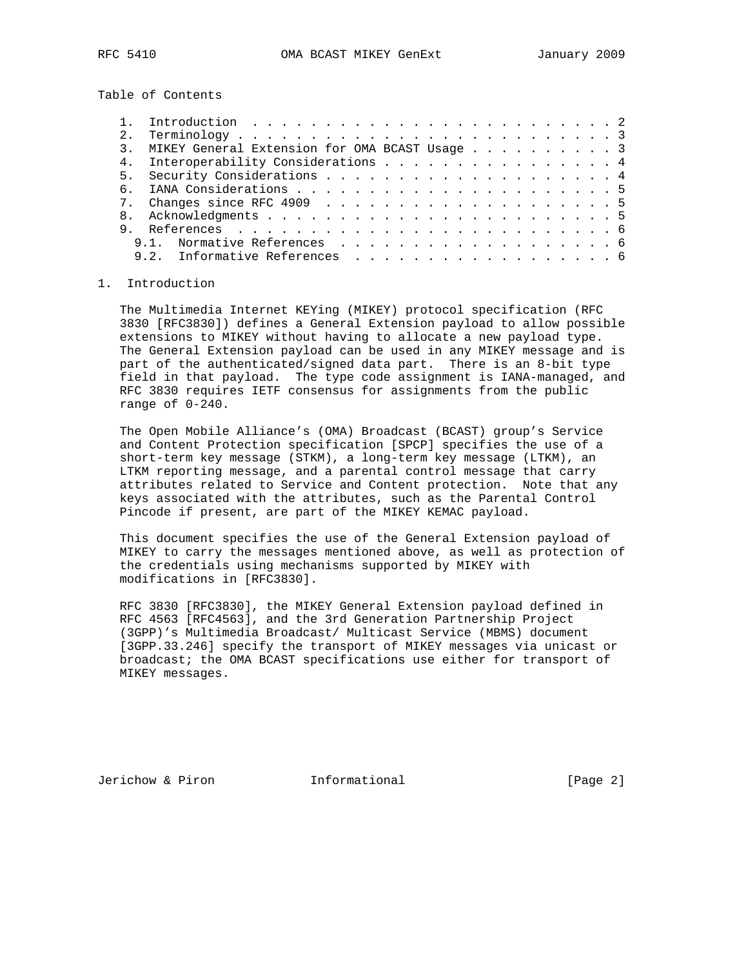Table of Contents

|  | MIKEY General Extension for OMA BCAST Usage 3 |  |
|--|-----------------------------------------------|--|
|  | 4. Interoperability Considerations 4          |  |
|  |                                               |  |
|  |                                               |  |
|  |                                               |  |
|  |                                               |  |
|  |                                               |  |
|  |                                               |  |
|  | 9.2. Informative References 6                 |  |
|  |                                               |  |

#### 1. Introduction

 The Multimedia Internet KEYing (MIKEY) protocol specification (RFC 3830 [RFC3830]) defines a General Extension payload to allow possible extensions to MIKEY without having to allocate a new payload type. The General Extension payload can be used in any MIKEY message and is part of the authenticated/signed data part. There is an 8-bit type field in that payload. The type code assignment is IANA-managed, and RFC 3830 requires IETF consensus for assignments from the public range of 0-240.

 The Open Mobile Alliance's (OMA) Broadcast (BCAST) group's Service and Content Protection specification [SPCP] specifies the use of a short-term key message (STKM), a long-term key message (LTKM), an LTKM reporting message, and a parental control message that carry attributes related to Service and Content protection. Note that any keys associated with the attributes, such as the Parental Control Pincode if present, are part of the MIKEY KEMAC payload.

 This document specifies the use of the General Extension payload of MIKEY to carry the messages mentioned above, as well as protection of the credentials using mechanisms supported by MIKEY with modifications in [RFC3830].

 RFC 3830 [RFC3830], the MIKEY General Extension payload defined in RFC 4563 [RFC4563], and the 3rd Generation Partnership Project (3GPP)'s Multimedia Broadcast/ Multicast Service (MBMS) document [3GPP.33.246] specify the transport of MIKEY messages via unicast or broadcast; the OMA BCAST specifications use either for transport of MIKEY messages.

Jerichow & Piron **Informational** [Page 2]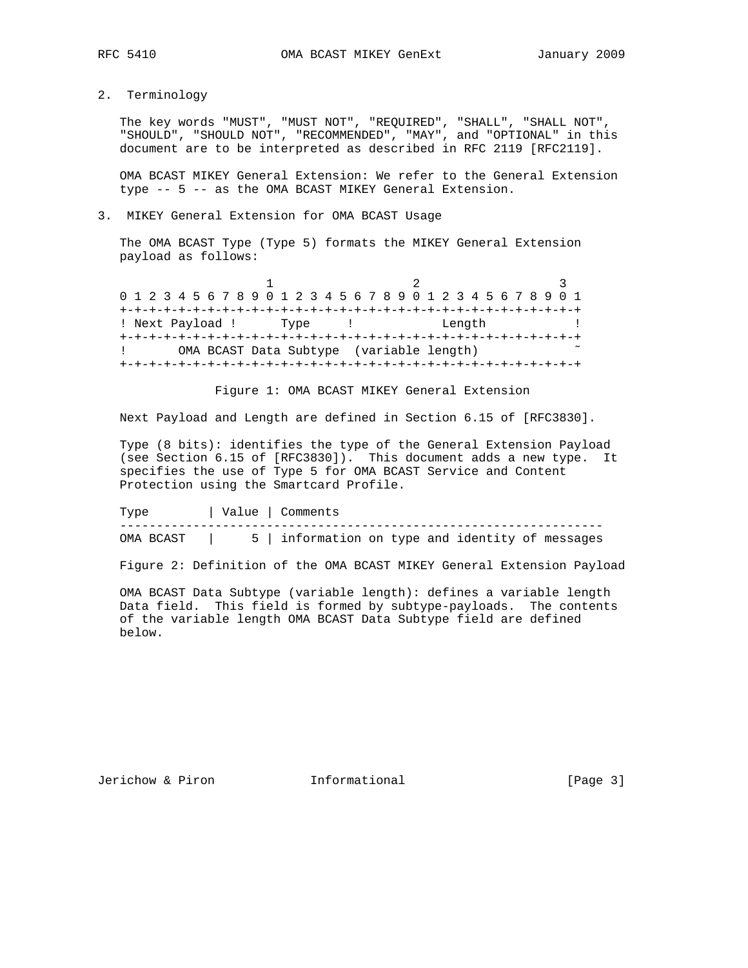2. Terminology

 The key words "MUST", "MUST NOT", "REQUIRED", "SHALL", "SHALL NOT", "SHOULD", "SHOULD NOT", "RECOMMENDED", "MAY", and "OPTIONAL" in this document are to be interpreted as described in RFC 2119 [RFC2119].

 OMA BCAST MIKEY General Extension: We refer to the General Extension type -- 5 -- as the OMA BCAST MIKEY General Extension.

### 3. MIKEY General Extension for OMA BCAST Usage

 The OMA BCAST Type (Type 5) formats the MIKEY General Extension payload as follows:

| 0 1 2 3 4 5 6 7 8 9 0 1 2 3 4 5 6 7 8 9 0 1 2 3 4 5 6 7 8 9 0 1 |                                          |  |      |  |  |  |  |  |        |  |  |  |  |
|-----------------------------------------------------------------|------------------------------------------|--|------|--|--|--|--|--|--------|--|--|--|--|
|                                                                 |                                          |  |      |  |  |  |  |  |        |  |  |  |  |
| ! Next Payload !                                                |                                          |  | Type |  |  |  |  |  | Length |  |  |  |  |
|                                                                 |                                          |  |      |  |  |  |  |  |        |  |  |  |  |
|                                                                 | OMA BCAST Data Subtype (variable length) |  |      |  |  |  |  |  |        |  |  |  |  |
|                                                                 |                                          |  |      |  |  |  |  |  |        |  |  |  |  |

Figure 1: OMA BCAST MIKEY General Extension

Next Payload and Length are defined in Section 6.15 of [RFC3830].

 Type (8 bits): identifies the type of the General Extension Payload (see Section 6.15 of [RFC3830]). This document adds a new type. It specifies the use of Type 5 for OMA BCAST Service and Content Protection using the Smartcard Profile.

| Tvpe      | Value   Comments                                 |  |  |
|-----------|--------------------------------------------------|--|--|
| OMA BCAST | 5   information on type and identity of messages |  |  |

Figure 2: Definition of the OMA BCAST MIKEY General Extension Payload

 OMA BCAST Data Subtype (variable length): defines a variable length Data field. This field is formed by subtype-payloads. The contents of the variable length OMA BCAST Data Subtype field are defined below.

Jerichow & Piron **Informational** [Page 3]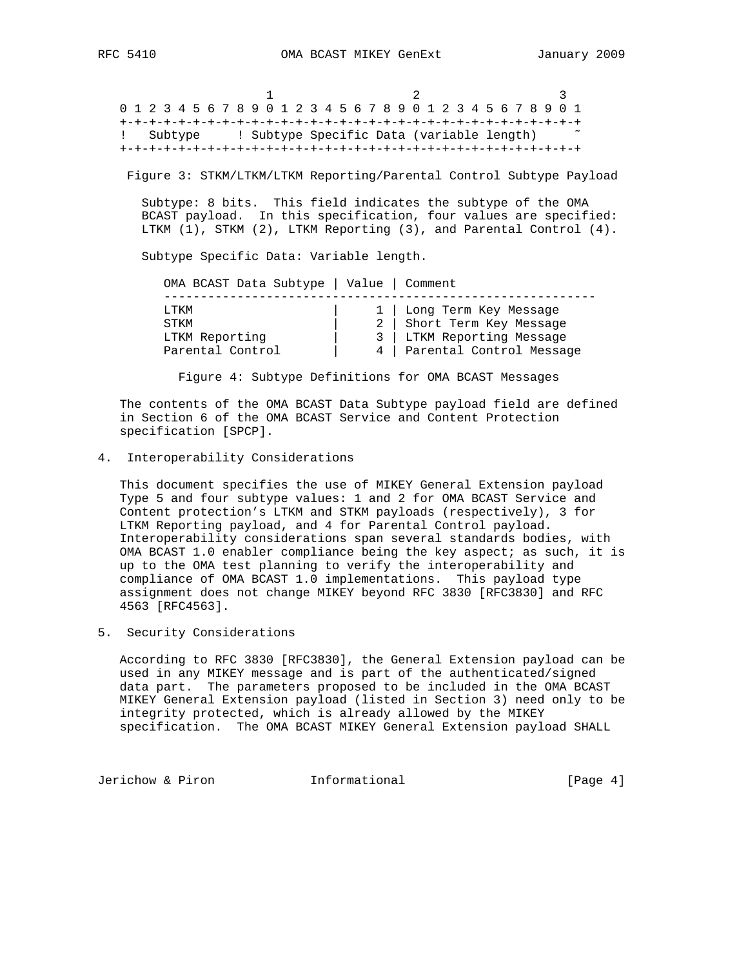1 2 3 0 1 2 3 4 5 6 7 8 9 0 1 2 3 4 5 6 7 8 9 0 1 2 3 4 5 6 7 8 9 0 1 +-+-+-+-+-+-+-+-+-+-+-+-+-+-+-+-+-+-+-+-+-+-+-+-+-+-+-+-+-+-+-+ ! Subtype ! Subtype Specific Data (variable length) ~ +-+-+-+-+-+-+-+-+-+-+-+-+-+-+-+-+-+-+-+-+-+-+-+-+-+-+-+-+-+-+-+

Figure 3: STKM/LTKM/LTKM Reporting/Parental Control Subtype Payload

 Subtype: 8 bits. This field indicates the subtype of the OMA BCAST payload. In this specification, four values are specified: LTKM (1), STKM (2), LTKM Reporting (3), and Parental Control (4).

Subtype Specific Data: Variable length.

|   | OMA BCAST Data Subtype   Value   Comment |
|---|------------------------------------------|
|   |                                          |
|   | 1   Long Term Key Message                |
|   | Short Term Key Message                   |
|   | 3   LTKM Reporting Message               |
| 4 | Parental Control Message                 |
|   |                                          |

Figure 4: Subtype Definitions for OMA BCAST Messages

 The contents of the OMA BCAST Data Subtype payload field are defined in Section 6 of the OMA BCAST Service and Content Protection specification [SPCP].

4. Interoperability Considerations

 This document specifies the use of MIKEY General Extension payload Type 5 and four subtype values: 1 and 2 for OMA BCAST Service and Content protection's LTKM and STKM payloads (respectively), 3 for LTKM Reporting payload, and 4 for Parental Control payload. Interoperability considerations span several standards bodies, with OMA BCAST 1.0 enabler compliance being the key aspect; as such, it is up to the OMA test planning to verify the interoperability and compliance of OMA BCAST 1.0 implementations. This payload type assignment does not change MIKEY beyond RFC 3830 [RFC3830] and RFC 4563 [RFC4563].

5. Security Considerations

 According to RFC 3830 [RFC3830], the General Extension payload can be used in any MIKEY message and is part of the authenticated/signed data part. The parameters proposed to be included in the OMA BCAST MIKEY General Extension payload (listed in Section 3) need only to be integrity protected, which is already allowed by the MIKEY specification. The OMA BCAST MIKEY General Extension payload SHALL

Jerichow & Piron **Informational** [Page 4]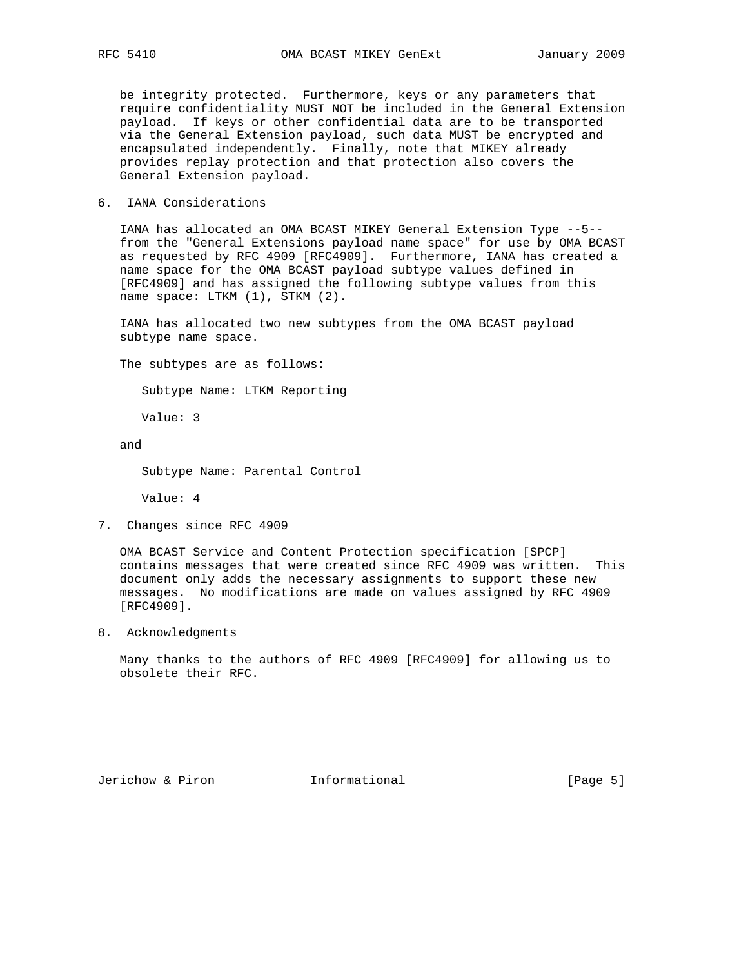be integrity protected. Furthermore, keys or any parameters that require confidentiality MUST NOT be included in the General Extension payload. If keys or other confidential data are to be transported via the General Extension payload, such data MUST be encrypted and encapsulated independently. Finally, note that MIKEY already provides replay protection and that protection also covers the General Extension payload.

### 6. IANA Considerations

 IANA has allocated an OMA BCAST MIKEY General Extension Type --5- from the "General Extensions payload name space" for use by OMA BCAST as requested by RFC 4909 [RFC4909]. Furthermore, IANA has created a name space for the OMA BCAST payload subtype values defined in [RFC4909] and has assigned the following subtype values from this name space: LTKM (1), STKM (2).

 IANA has allocated two new subtypes from the OMA BCAST payload subtype name space.

The subtypes are as follows:

Subtype Name: LTKM Reporting

Value: 3

and

Subtype Name: Parental Control

Value: 4

7. Changes since RFC 4909

 OMA BCAST Service and Content Protection specification [SPCP] contains messages that were created since RFC 4909 was written. This document only adds the necessary assignments to support these new messages. No modifications are made on values assigned by RFC 4909 [RFC4909].

8. Acknowledgments

 Many thanks to the authors of RFC 4909 [RFC4909] for allowing us to obsolete their RFC.

Jerichow & Piron **Informational** [Page 5]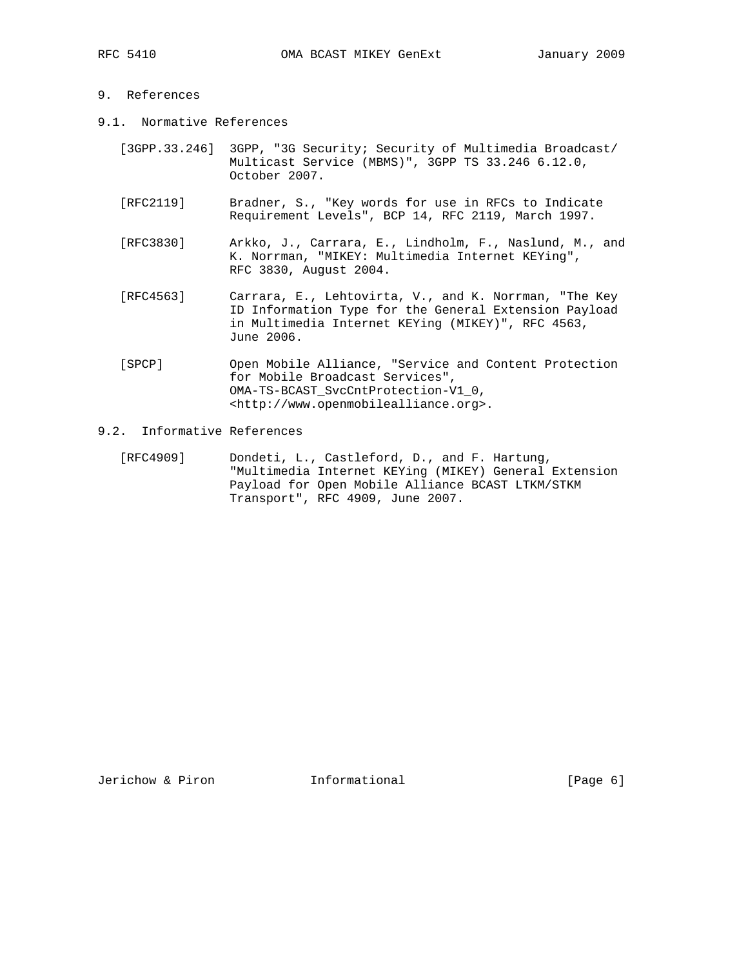# 9. References

- 9.1. Normative References
	- [3GPP.33.246] 3GPP, "3G Security; Security of Multimedia Broadcast/ Multicast Service (MBMS)", 3GPP TS 33.246 6.12.0, October 2007.
	- [RFC2119] Bradner, S., "Key words for use in RFCs to Indicate Requirement Levels", BCP 14, RFC 2119, March 1997.
	- [RFC3830] Arkko, J., Carrara, E., Lindholm, F., Naslund, M., and K. Norrman, "MIKEY: Multimedia Internet KEYing", RFC 3830, August 2004.
	- [RFC4563] Carrara, E., Lehtovirta, V., and K. Norrman, "The Key ID Information Type for the General Extension Payload in Multimedia Internet KEYing (MIKEY)", RFC 4563, June 2006.
	- [SPCP] Open Mobile Alliance, "Service and Content Protection for Mobile Broadcast Services", OMA-TS-BCAST\_SvcCntProtection-V1\_0, <http://www.openmobilealliance.org>.
- 9.2. Informative References
	- [RFC4909] Dondeti, L., Castleford, D., and F. Hartung, "Multimedia Internet KEYing (MIKEY) General Extension Payload for Open Mobile Alliance BCAST LTKM/STKM Transport", RFC 4909, June 2007.